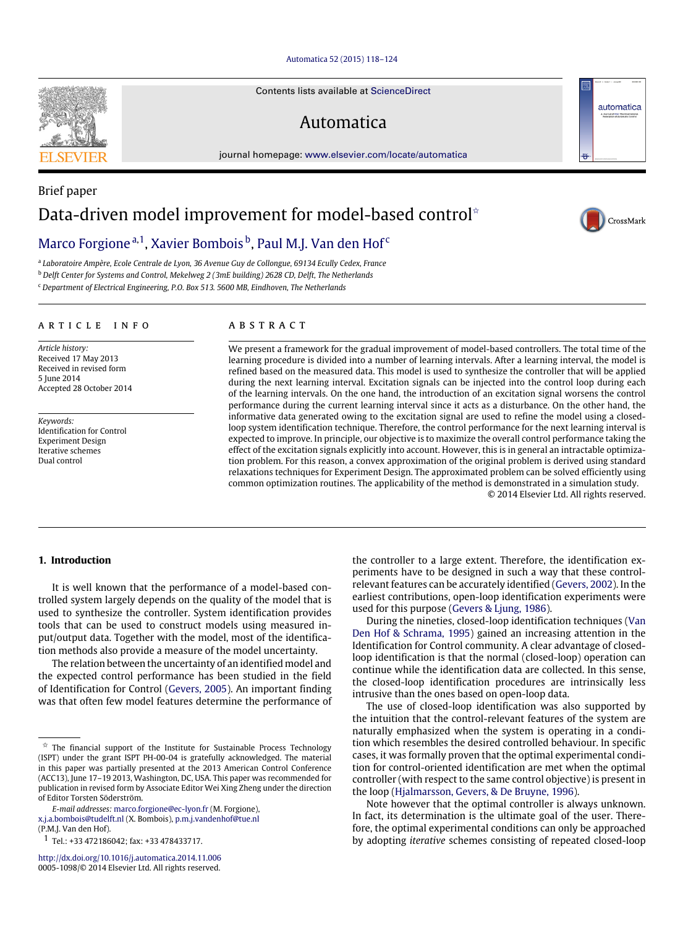#### [Automatica 52 \(2015\) 118–124](http://dx.doi.org/10.1016/j.automatica.2014.11.006)

Contents lists available at [ScienceDirect](http://www.elsevier.com/locate/automatica)

# Automatica

journal homepage: [www.elsevier.com/locate/automatica](http://www.elsevier.com/locate/automatica)

# Brief paper Data-driven model improvement for model-based control<sup>☆</sup>

# [Marco Forgione](#page-6-0) <sup>[a](#page-0-1), 1</sup>, [Xavier Bombois](#page-6-1) <sup>[b](#page-0-3)</sup>, [Paul M.J. Van den Hof](#page-6-2) <sup>[c](#page-0-4)</sup>

<span id="page-0-1"></span>a *Laboratoire Ampère, Ecole Centrale de Lyon, 36 Avenue Guy de Collongue, 69134 Ecully Cedex, France*

<span id="page-0-3"></span><sup>b</sup> *Delft Center for Systems and Control, Mekelweg 2 (3mE building) 2628 CD, Delft, The Netherlands*

<span id="page-0-4"></span><sup>c</sup> *Department of Electrical Engineering, P.O. Box 513. 5600 MB, Eindhoven, The Netherlands*

#### A R T I C L E I N F O

*Article history:* Received 17 May 2013 Received in revised form 5 June 2014 Accepted 28 October 2014

*Keywords:* Identification for Control Experiment Design Iterative schemes Dual control

#### a b s t r a c t

We present a framework for the gradual improvement of model-based controllers. The total time of the learning procedure is divided into a number of learning intervals. After a learning interval, the model is refined based on the measured data. This model is used to synthesize the controller that will be applied during the next learning interval. Excitation signals can be injected into the control loop during each of the learning intervals. On the one hand, the introduction of an excitation signal worsens the control performance during the current learning interval since it acts as a disturbance. On the other hand, the informative data generated owing to the excitation signal are used to refine the model using a closedloop system identification technique. Therefore, the control performance for the next learning interval is expected to improve. In principle, our objective is to maximize the overall control performance taking the effect of the excitation signals explicitly into account. However, this is in general an intractable optimization problem. For this reason, a convex approximation of the original problem is derived using standard relaxations techniques for Experiment Design. The approximated problem can be solved efficiently using common optimization routines. The applicability of the method is demonstrated in a simulation study.

© 2014 Elsevier Ltd. All rights reserved.

## **1. Introduction**

It is well known that the performance of a model-based controlled system largely depends on the quality of the model that is used to synthesize the controller. System identification provides tools that can be used to construct models using measured input/output data. Together with the model, most of the identification methods also provide a measure of the model uncertainty.

The relation between the uncertainty of an identified model and the expected control performance has been studied in the field of Identification for Control [\(Gevers,](#page-6-3) [2005\)](#page-6-3). An important finding was that often few model features determine the performance of

[x.j.a.bombois@tudelft.nl](mailto:x.j.a.bombois@tudelft.nl) (X. Bombois), [p.m.j.vandenhof@tue.nl](mailto:p.m.j.vandenhof@tue.nl) (P.M.J. Van den Hof).

<http://dx.doi.org/10.1016/j.automatica.2014.11.006> 0005-1098/© 2014 Elsevier Ltd. All rights reserved. the controller to a large extent. Therefore, the identification experiments have to be designed in such a way that these controlrelevant features can be accurately identified [\(Gevers,](#page-6-4) [2002\)](#page-6-4). In the earliest contributions, open-loop identification experiments were used for this purpose [\(Gevers](#page-6-5) [&](#page-6-5) [Ljung,](#page-6-5) [1986\)](#page-6-5).

During the nineties, closed-loop identification techniques [\(Van](#page-6-6) [Den](#page-6-6) [Hof](#page-6-6) [&](#page-6-6) [Schrama,](#page-6-6) [1995\)](#page-6-6) gained an increasing attention in the Identification for Control community. A clear advantage of closedloop identification is that the normal (closed-loop) operation can continue while the identification data are collected. In this sense, the closed-loop identification procedures are intrinsically less intrusive than the ones based on open-loop data.

The use of closed-loop identification was also supported by the intuition that the control-relevant features of the system are naturally emphasized when the system is operating in a condition which resembles the desired controlled behaviour. In specific cases, it was formally proven that the optimal experimental condition for control-oriented identification are met when the optimal controller (with respect to the same control objective) is present in the loop [\(Hjalmarsson,](#page-6-7) [Gevers,](#page-6-7) [&](#page-6-7) [De](#page-6-7) [Bruyne,](#page-6-7) [1996\)](#page-6-7).

Note however that the optimal controller is always unknown. In fact, its determination is the ultimate goal of the user. Therefore, the optimal experimental conditions can only be approached by adopting *iterative* schemes consisting of repeated closed-loop







<span id="page-0-0"></span> $\overrightarrow{x}$  The financial support of the Institute for Sustainable Process Technology (ISPT) under the grant ISPT PH-00-04 is gratefully acknowledged. The material in this paper was partially presented at the 2013 American Control Conference (ACC13), June 17–19 2013, Washington, DC, USA. This paper was recommended for publication in revised form by Associate Editor Wei Xing Zheng under the direction of Editor Torsten Söderström.

*E-mail addresses:* [marco.forgione@ec-lyon.fr](mailto:marco.forgione@ec-lyon.fr) (M. Forgione),

<span id="page-0-2"></span><sup>1</sup> Tel.: +33 472186042; fax: +33 478433717.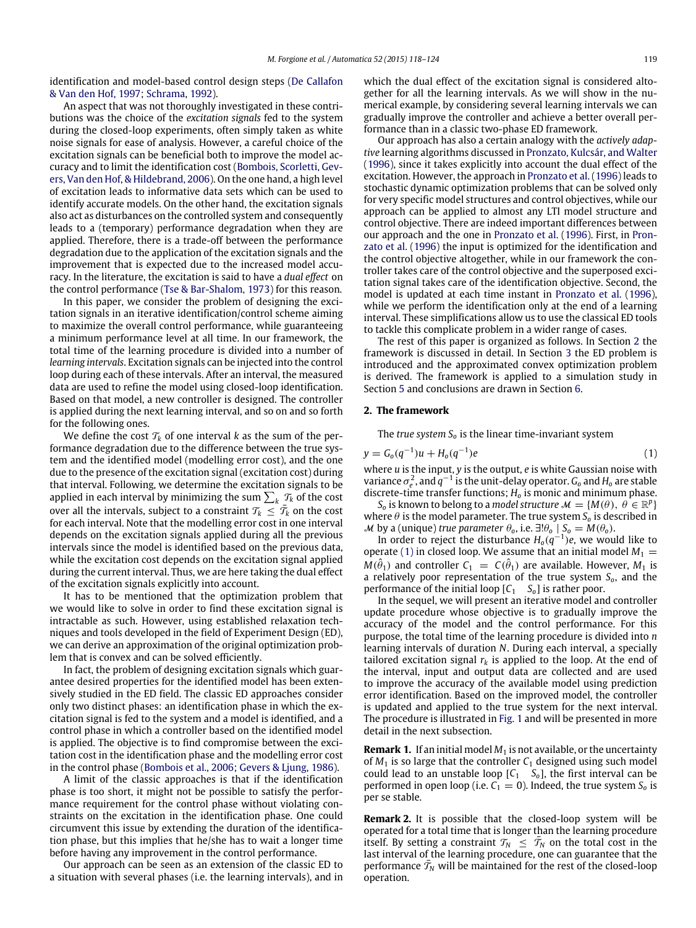identification and model-based control design steps [\(De](#page-6-8) [Callafon](#page-6-8) [&](#page-6-8) [Van](#page-6-8) [den](#page-6-8) [Hof,](#page-6-8) [1997;](#page-6-8) [Schrama,](#page-6-9) [1992\)](#page-6-9).

An aspect that was not thoroughly investigated in these contributions was the choice of the *excitation signals* fed to the system during the closed-loop experiments, often simply taken as white noise signals for ease of analysis. However, a careful choice of the excitation signals can be beneficial both to improve the model ac[c](#page-6-10)uracy and to limit the identification cost [\(Bombois,](#page-6-10) [Scorletti,](#page-6-10) [Gev](#page-6-10)[ers,](#page-6-10) [Van](#page-6-10) [den](#page-6-10) [Hof,](#page-6-10) [&](#page-6-10) [Hildebrand,](#page-6-10) [2006\)](#page-6-10). On the one hand, a high level of excitation leads to informative data sets which can be used to identify accurate models. On the other hand, the excitation signals also act as disturbances on the controlled system and consequently leads to a (temporary) performance degradation when they are applied. Therefore, there is a trade-off between the performance degradation due to the application of the excitation signals and the improvement that is expected due to the increased model accuracy. In the literature, the excitation is said to have a *dual effect* on the control performance [\(Tse](#page-6-11) [&](#page-6-11) [Bar-Shalom,](#page-6-11) [1973\)](#page-6-11) for this reason.

In this paper, we consider the problem of designing the excitation signals in an iterative identification/control scheme aiming to maximize the overall control performance, while guaranteeing a minimum performance level at all time. In our framework, the total time of the learning procedure is divided into a number of *learning intervals*. Excitation signals can be injected into the control loop during each of these intervals. After an interval, the measured data are used to refine the model using closed-loop identification. Based on that model, a new controller is designed. The controller is applied during the next learning interval, and so on and so forth for the following ones.

We define the cost  $\mathcal{T}_k$  of one interval *k* as the sum of the performance degradation due to the difference between the true system and the identified model (modelling error cost), and the one due to the presence of the excitation signal (excitation cost) during that interval. Following, we determine the excitation signals to be applied in each interval by minimizing the sum  $\sum_k \mathcal{T}_k$  of the cost over all the intervals, subject to a constraint  $\mathcal{T}_k \leq \tilde{\mathcal{T}}_k$  on the cost for each interval. Note that the modelling error cost in one interval depends on the excitation signals applied during all the previous intervals since the model is identified based on the previous data, while the excitation cost depends on the excitation signal applied during the current interval. Thus, we are here taking the dual effect of the excitation signals explicitly into account.

It has to be mentioned that the optimization problem that we would like to solve in order to find these excitation signal is intractable as such. However, using established relaxation techniques and tools developed in the field of Experiment Design (ED), we can derive an approximation of the original optimization problem that is convex and can be solved efficiently.

In fact, the problem of designing excitation signals which guarantee desired properties for the identified model has been extensively studied in the ED field. The classic ED approaches consider only two distinct phases: an identification phase in which the excitation signal is fed to the system and a model is identified, and a control phase in which a controller based on the identified model is applied. The objective is to find compromise between the excitation cost in the identification phase and the modelling error cost in the control phase [\(Bombois](#page-6-10) [et al.,](#page-6-10) [2006;](#page-6-10) [Gevers](#page-6-5) [&](#page-6-5) [Ljung,](#page-6-5) [1986\)](#page-6-5).

A limit of the classic approaches is that if the identification phase is too short, it might not be possible to satisfy the performance requirement for the control phase without violating constraints on the excitation in the identification phase. One could circumvent this issue by extending the duration of the identification phase, but this implies that he/she has to wait a longer time before having any improvement in the control performance.

Our approach can be seen as an extension of the classic ED to a situation with several phases (i.e. the learning intervals), and in which the dual effect of the excitation signal is considered altogether for all the learning intervals. As we will show in the numerical example, by considering several learning intervals we can gradually improve the controller and achieve a better overall performance than in a classic two-phase ED framework.

Our approach has also a certain analogy with the *actively adaptive* learning algorithms discussed in [Pronzato,](#page-6-12) [Kulcsár,](#page-6-12) [and](#page-6-12) [Walter](#page-6-12) [\(1996\)](#page-6-12), since it takes explicitly into account the dual effect of the excitation. However, the approach in [Pronzato](#page-6-12) [et al.](#page-6-12) [\(1996\)](#page-6-12) leads to stochastic dynamic optimization problems that can be solved only for very specific model structures and control objectives, while our approach can be applied to almost any LTI model structure and control objective. There are indeed important differences between [o](#page-6-12)ur approach and the one in [Pronzato](#page-6-12) [et al.](#page-6-12) [\(1996\)](#page-6-12). First, in [Pron](#page-6-12)[zato](#page-6-12) [et al.](#page-6-12) [\(1996\)](#page-6-12) the input is optimized for the identification and the control objective altogether, while in our framework the controller takes care of the control objective and the superposed excitation signal takes care of the identification objective. Second, the model is updated at each time instant in [Pronzato](#page-6-12) [et al.](#page-6-12) [\(1996\)](#page-6-12), while we perform the identification only at the end of a learning interval. These simplifications allow us to use the classical ED tools to tackle this complicate problem in a wider range of cases.

The rest of this paper is organized as follows. In Section [2](#page-1-0) the framework is discussed in detail. In Section [3](#page-3-0) the ED problem is introduced and the approximated convex optimization problem is derived. The framework is applied to a simulation study in Section [5](#page-4-0) and conclusions are drawn in Section [6.](#page-6-13)

#### <span id="page-1-0"></span>**2. The framework**

<span id="page-1-1"></span>The *true system S<sup>o</sup>* is the linear time-invariant system

$$
y = G_o(q^{-1})u + H_o(q^{-1})e
$$
\n(1)

where *u* is the input, *y* is the output, *e* is white Gaussian noise with variance  $\sigma_e^2$ , and  $q^{-1}$  is the unit-delay operator.  $G_o$  and  $H_o$  are stable discrete-time transfer functions; *H<sup>o</sup>* is monic and minimum phase.

*S*<sub>o</sub> is known to belong to a *model structure*  $\mathcal{M} = \{M(\theta), \ \theta \in \mathbb{R}^p\}$ where  $\theta$  is the model parameter. The true system  $S_0$  is described in *M* by a (unique) *true parameter*  $\theta_o$ , i.e.  $\exists$ ! $\theta_o \mid S_o = M(\theta_o)$ .

In order to reject the disturbance  $H_0(q^{-1})e$ , we would like to operate [\(1\)](#page-1-1) in closed loop. We assume that an initial model  $M_1 =$  $\widehat{M(\hat{\theta}_1)}$  and controller  $C_1 = C(\hat{\theta}_1)$  are available. However,  $M_1$  is a relatively poor representation of the true system *So*, and the performance of the initial loop  $[C_1 \quad S_0]$  is rather poor.

In the sequel, we will present an iterative model and controller update procedure whose objective is to gradually improve the accuracy of the model and the control performance. For this purpose, the total time of the learning procedure is divided into *n* learning intervals of duration *N*. During each interval, a specially tailored excitation signal  $r_k$  is applied to the loop. At the end of the interval, input and output data are collected and are used to improve the accuracy of the available model using prediction error identification. Based on the improved model, the controller is updated and applied to the true system for the next interval. The procedure is illustrated in [Fig. 1](#page-2-0) and will be presented in more detail in the next subsection.

**Remark 1.** If an initial model  $M_1$  is not available, or the uncertainty of  $M_1$  is so large that the controller  $C_1$  designed using such model could lead to an unstable loop  $[C_1 \quad S_0]$ , the first interval can be performed in open loop (i.e.  $C_1 = 0$ ). Indeed, the true system  $S_0$  is per se stable.

**Remark 2.** It is possible that the closed-loop system will be operated for a total time that is longer than the learning procedure itself. By setting a constraint  $T_N \leq T_N$  on the total cost in the last interval of the learning procedure, one can guarantee that the performance  $\bar{\tau}_N$  will be maintained for the rest of the closed-loop operation.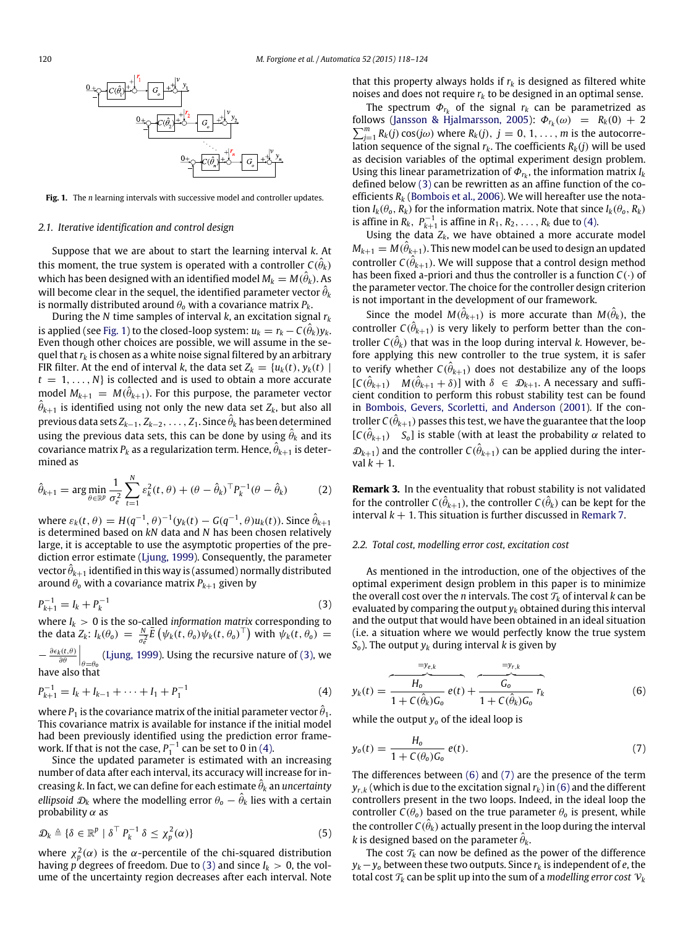<span id="page-2-0"></span>

**Fig. 1.** The *n* learning intervals with successive model and controller updates.

#### *2.1. Iterative identification and control design*

Suppose that we are about to start the learning interval *k*. At this moment, the true system is operated with a controller  $C(\hat{\theta}_k)$ which has been designed with an identified model  $M_k = M(\hat{\theta}_k).$  As will become clear in the sequel, the identified parameter vector  $\hat{\theta}_k$ is normally distributed around  $\theta$ <sup>o</sup> with a covariance matrix  $P_k$ .

During the *N* time samples of interval *k*, an excitation signal *r<sup>k</sup>* is applied (see [Fig. 1\)](#page-2-0) to the closed-loop system:  $u_k = r_k - C(\hat{\theta}_k) y_k$ . Even though other choices are possible, we will assume in the sequel that *r<sup>k</sup>* is chosen as a white noise signal filtered by an arbitrary FIR filter. At the end of interval *k*, the data set  $Z_k = \{u_k(t), y_k(t) \mid$  $t = 1, \ldots, N$  is collected and is used to obtain a more accurate model  $M_{k+1} \ = \ M(\hat{\theta}_{k+1}).$  For this purpose, the parameter vector  $\hat{\theta}_{k+1}$  is identified using not only the new data set  $Z_k$ , but also all previous data sets *<sup>Z</sup>k*−1, *<sup>Z</sup>k*−2, . . . , *<sup>Z</sup>*1. Since θˆ *<sup>k</sup>* has been determined using the previous data sets, this can be done by using  $\hat{\theta}_k$  and its  $\epsilon$ ovariance matrix  $P_k$  as a regularization term. Hence,  $\hat{\theta}_{k+1}$  is determined as

$$
\hat{\theta}_{k+1} = \arg\min_{\theta \in \mathbb{R}^p} \frac{1}{\sigma_e^2} \sum_{t=1}^N \varepsilon_k^2(t, \theta) + (\theta - \hat{\theta}_k)^{\top} P_k^{-1} (\theta - \hat{\theta}_k)
$$
(2)

 $\omega$  where  $\varepsilon_k(t, \theta) = H(q^{-1}, \theta)^{-1} (y_k(t) - G(q^{-1}, \theta) u_k(t))$ . Since  $\hat{\theta}_{k+1}$ is determined based on *kN* data and *N* has been chosen relatively large, it is acceptable to use the asymptotic properties of the prediction error estimate [\(Ljung,](#page-6-14) [1999\)](#page-6-14). Consequently, the parameter  $\hat{\theta}_{k+1}$  identified in this way is (assumed) normally distributed around  $\theta$ <sup>o</sup> with a covariance matrix  $P_{k+1}$  given by

$$
P_{k+1}^{-1} = I_k + P_k^{-1}
$$
\n(3)

where *I<sup>k</sup>* > 0 is the so-called *information matrix* corresponding to the data  $Z_k$ :  $I_k(\theta_o) = \frac{N}{\sigma_e^2} \bar{E} \left( \psi_k(t, \theta_o) \psi_k(t, \theta_o)^\top \right)$  with  $\psi_k(t, \theta_o) =$ 

 $-\frac{\partial \epsilon_k(t,\theta)}{\partial \theta}\Big|_{\theta=\theta_0}$  [\(Ljung,](#page-6-14) [1999\)](#page-6-14). Using the recursive nature of [\(3\),](#page-2-1) we have also that

$$
P_{k+1}^{-1} = I_k + I_{k-1} + \dots + I_1 + P_1^{-1}
$$
\n<sup>(4)</sup>

where  $P_1$  is the covariance matrix of the initial parameter vector  $\hat{\theta}_1$ . This covariance matrix is available for instance if the initial model had been previously identified using the prediction error framework. If that is not the case,  $P_1^{-1}$  can be set to 0 in [\(4\).](#page-2-2)

Since the updated parameter is estimated with an increasing number of data after each interval, its accuracy will increase for increasing *<sup>k</sup>*. In fact, we can define for each estimate θˆ *<sup>k</sup>* an *uncertainty*  $\epsilon$ *ellipsoid*  $\mathcal{D}_k$  *where the modelling error*  $\theta_o - \hat{\theta}_k$  *lies with a certain* probability  $\alpha$  as

$$
\mathcal{D}_k \triangleq \{ \delta \in \mathbb{R}^p \mid \delta^\top P_k^{-1} \delta \leq \chi_p^2(\alpha) \}
$$
 (5)

where  $\chi_p^2(\alpha)$  is the  $\alpha$ -percentile of the chi-squared distribution having *p* degrees of freedom. Due to [\(3\)](#page-2-1) and since  $I_k > 0$ , the volume of the uncertainty region decreases after each interval. Note that this property always holds if  $r_k$  is designed as filtered white noises and does not require  $r_k$  to be designed in an optimal sense.

The spectrum  $\Phi_{r_k}$  of the signal  $r_k$  can be parametrized as follows [\(Jansson](#page-6-15) [&](#page-6-15) [Hjalmarsson,](#page-6-15) [2005\)](#page-6-15):  $\Phi_{r_k}(\omega) = R_k(0) + 2$ <br>  $\sum_{j=1}^m R_k(j) \cos(j\omega)$  where  $R_k(j)$ ,  $j = 0, 1, ..., m$  is the autocorrefollows (Jansson & Hjalmarsson, 2005):  $\Phi_{r_k}(\omega) = R_k(0) + 2$ lation sequence of the signal  $r_k$ . The coefficients  $R_k(i)$  will be used as decision variables of the optimal experiment design problem. Using this linear parametrization of  $\Phi_{r_k}$ , the information matrix  $I_k$ defined below [\(3\)](#page-2-1) can be rewritten as an affine function of the coefficients *R<sup>k</sup>* [\(Bombois](#page-6-10) [et al.,](#page-6-10) [2006\)](#page-6-10). We will hereafter use the notation  $I_k(\theta_o, R_k)$  for the information matrix. Note that since  $I_k(\theta_o, R_k)$ is affine in  $R_k$ ,  $P_{k+1}^{-1}$  is affine in  $R_1, R_2, \ldots, R_k$  due to [\(4\).](#page-2-2)

Using the data  $Z_k$ , we have obtained a more accurate model  $M_{k+1} = M(\hat{\theta}_{k+1})$ . This new model can be used to design an updated controller  $C(\hat{\theta}_{k+1})$ . We will suppose that a control design method has been fixed a-priori and thus the controller is a function *C*(·) of the parameter vector. The choice for the controller design criterion is not important in the development of our framework.

Since the model  $M(\hat{\theta}_{k+1})$  is more accurate than  $M(\hat{\theta}_k)$ , the controller  $C(\hat{\theta}_{k+1})$  is very likely to perform better than the controller  $C(\hat{\theta}_k)$  that was in the loop during interval *k*. However, before applying this new controller to the true system, it is safer to verify whether  $C(\hat{\theta}_{k+1})$  does not destabilize any of the loops  $[C(\hat{\theta}_{k+1}) \quad M(\hat{\theta}_{k+1} + \delta)]$  with  $\delta \in \mathcal{D}_{k+1}$ . A necessary and sufficient condition to perform this robust stability test can be found in [Bombois,](#page-6-16) [Gevers,](#page-6-16) [Scorletti,](#page-6-16) [and](#page-6-16) [Anderson](#page-6-16) [\(2001\)](#page-6-16). If the controller  $C(\hat{\theta}_{k+1})$  passes this test, we have the guarantee that the loop  $[C(\hat{\theta}_{k+1})$  *S*<sub>0</sub>] is stable (with at least the probability  $\alpha$  related to  $\mathcal{D}_{k+1}$ ) and the controller  $C(\hat{\theta}_{k+1})$  can be applied during the interval  $k + 1$ .

<span id="page-2-6"></span><span id="page-2-5"></span>**Remark 3.** In the eventuality that robust stability is not validated for the controller  $C(\hat{\theta}_{k+1})$ , the controller  $C(\hat{\theta}_k)$  can be kept for the interval  $k + 1$ . This situation is further discussed in [Remark 7.](#page-4-1)

### *2.2. Total cost, modelling error cost, excitation cost*

<span id="page-2-1"></span>As mentioned in the introduction, one of the objectives of the optimal experiment design problem in this paper is to minimize the overall cost over the *n* intervals. The cost  $\mathcal{T}_k$  of interval *k* can be evaluated by comparing the output *y<sup>k</sup>* obtained during this interval and the output that would have been obtained in an ideal situation (i.e. a situation where we would perfectly know the true system  $S_0$ ). The output  $y_k$  during interval *k* is given by

<span id="page-2-3"></span><span id="page-2-2"></span>
$$
y_k(t) = \frac{\frac{y_{e,k}}{H_0}}{1 + C(\hat{\theta}_k)G_0} e(t) + \frac{\frac{y_{r,k}}{G_0}}{1 + C(\hat{\theta}_k)G_0} r_k
$$
(6)

while the output *y<sup>o</sup>* of the ideal loop is

<span id="page-2-4"></span>
$$
y_o(t) = \frac{H_o}{1 + C(\theta_o)G_o} e(t).
$$
 (7)

The differences between [\(6\)](#page-2-3) and [\(7\)](#page-2-4) are the presence of the term  $y_{r,k}$  (which is due to the excitation signal  $r_k$ ) in [\(6\)](#page-2-3) and the different controllers present in the two loops. Indeed, in the ideal loop the controller  $C(\theta_0)$  based on the true parameter  $\theta_0$  is present, while the controller  $C(\hat{\theta}_k)$  actually present in the loop during the interval  $k$  is designed based on the parameter  $\hat{\theta}_k$ .

The cost  $T_k$  can now be defined as the power of the difference  $y_k - y_o$  between these two outputs. Since  $r_k$  is independent of *e*, the total cost  $\mathcal{T}_k$  can be split up into the sum of a *modelling error cost*  $\mathcal{V}_k$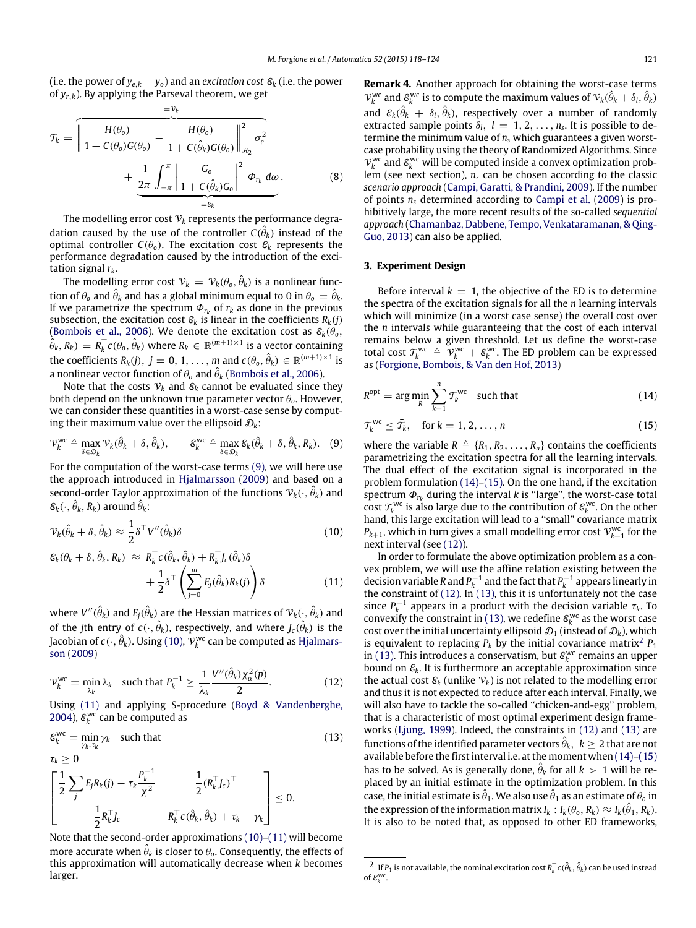(i.e. the power of  $y_{e,k} - y_o$ ) and an *excitation cost*  $\varepsilon_k$  (i.e. the power of *yr*,*k*). By applying the Parseval theorem, we get

$$
\mathcal{T}_{k} = \sqrt{\frac{H(\theta_{0})}{1 + C(\theta_{0})G(\theta_{0})} - \frac{H(\theta_{0})}{1 + C(\hat{\theta}_{k})G(\theta_{0})}} \Big|_{\mathcal{H}_{2}}^{2} \sigma_{e}^{2} + \frac{1}{2\pi} \int_{-\pi}^{\pi} \left| \frac{G_{0}}{1 + C(\hat{\theta}_{k})G_{0}} \right|^{2} \Phi_{r_{k}} d\omega.
$$
\n(8)

The modelling error cost  $v_k$  represents the performance degradation caused by the use of the controller  $\tilde{C}(\hat{\theta}_k)$  instead of the optimal controller  $C(\theta_0)$ . The excitation cost  $\varepsilon_k$  represents the performance degradation caused by the introduction of the excitation signal *rk*.

The modelling error cost  $V_k = V_k(\theta_0, \hat{\theta}_k)$  is a nonlinear function of  $\theta_o$  and  $\hat{\theta}_k$  and has a global minimum equal to 0 in  $\theta_o = \hat{\theta}_k$ . If we parametrize the spectrum  $\mathbf{\Phi}_{r_k}$  of  $r_k$  as done in the previous subsection, the excitation cost  $\varepsilon_k$  is linear in the coefficients  $R_k(j)$ [\(Bombois](#page-6-10) [et al.,](#page-6-10) [2006\)](#page-6-10). We denote the excitation cost as  $\varepsilon_k(\theta_o)$ ,  $\hat{\theta}_k, R_k) = R_k^{\top} c(\theta_o, \hat{\theta}_k)$  where  $R_k \in \mathbb{R}^{(m+1)\times 1}$  is a vector containing the coefficients  $R_k(j)$ ,  $j = 0, 1, \ldots, m$  and  $c(\theta_o, \hat{\theta}_k) \in \mathbb{R}^{(m+1)\times 1}$  is a nonlinear vector function of  $\theta_\text{o}$  and  $\hat{\theta}_\text{k}$  [\(Bombois](#page-6-10) [et al.,](#page-6-10) [2006\)](#page-6-10).

Note that the costs  $V_k$  and  $\varepsilon_k$  cannot be evaluated since they both depend on the unknown true parameter vector θ*o*. However, we can consider these quantities in a worst-case sense by computing their maximum value over the ellipsoid  $\mathcal{D}_k$ :

$$
\mathcal{V}_k^{\text{wc}} \triangleq \max_{\delta \in \mathcal{D}_k} \mathcal{V}_k(\hat{\theta}_k + \delta, \hat{\theta}_k), \qquad \mathcal{E}_k^{\text{wc}} \triangleq \max_{\delta \in \mathcal{D}_k} \mathcal{E}_k(\hat{\theta}_k + \delta, \hat{\theta}_k, R_k). \quad (9)
$$

For the computation of the worst-case terms [\(9\),](#page-3-1) we will here use the approach introduced in [Hjalmarsson](#page-6-17) [\(2009\)](#page-6-17) and based on a  $\mathsf{second\text{-}order\; Taylor\; approximation\; of\; the\; functions\; \mathcal{V}_k(\cdot,\hat{\theta}_k)$  and  $\mathcal{E}_k(\cdot, \hat{\theta}_k, R_k)$  around  $\hat{\theta}_k$ :

$$
\mathcal{V}_{k}(\hat{\theta}_{k} + \delta, \hat{\theta}_{k}) \approx \frac{1}{2} \delta^{\top} V''(\hat{\theta}_{k}) \delta
$$
\n
$$
\mathcal{E}_{k}(\theta_{k} + \delta, \hat{\theta}_{k}, R_{k}) \approx R_{k}^{\top} c(\hat{\theta}_{k}, \hat{\theta}_{k}) + R_{k}^{\top} J_{c}(\hat{\theta}_{k}) \delta
$$
\n
$$
+ \frac{1}{2} \delta^{\top} \left( \sum_{j=0}^{m} E_{j}(\hat{\theta}_{k}) R_{k}(j) \right) \delta
$$
\n(11)

where  $V''(\hat{\theta}_k)$  and  $E_j(\hat{\theta}_k)$  are the Hessian matrices of  $\mathcal{V}_k(\cdot,\hat{\theta}_k)$  and of the *j*th entry of  $c(\cdot, \hat{\theta}_k)$ , respectively, and where  $J_c(\hat{\theta}_k)$  is the [J](#page-6-17)acobian of  $c(\cdot,\hat{\theta}_k)$ . Using [\(10\),](#page-3-2)  $\mathcal{V}_k^\text{wc}$  can be computed as [Hjalmars](#page-6-17)[son](#page-6-17) [\(2009\)](#page-6-17)

$$
\mathcal{V}_k^{\text{wc}} = \min_{\lambda_k} \lambda_k \quad \text{such that } P_k^{-1} \ge \frac{1}{\lambda_k} \frac{V''(\hat{\theta}_k) \chi_\alpha^2(p)}{2}.
$$
 (12)

Using [\(11\)](#page-3-3) and applying S-procedure [\(Boyd](#page-6-18) [&](#page-6-18) [Vandenberghe,](#page-6-18) [2004\)](#page-6-18),  $\varepsilon_{k}^{\textrm{wc}}$  can be computed as

$$
\mathcal{E}_k^{\text{wc}} = \min_{\gamma_k, \tau_k} \gamma_k \quad \text{such that} \tag{13}
$$
\n
$$
\tau_k \ge 0
$$
\n
$$
\begin{bmatrix}\n\frac{1}{K} \sum E_i R_k(i) - \tau_k \frac{P_k^{-1}}{K} & \frac{1}{K} (R_i^T I_k)^T\n\end{bmatrix}
$$

$$
\left[\begin{array}{ccc} \frac{1}{2}\sum_{j}E_{j}R_{k}(j)-\tau_{k}\frac{\tau_{k}}{\chi^{2}} & \frac{1}{2}(R_{k}^{\top}J_{c})^{\top} \\ \frac{1}{2}R_{k}^{\top}J_{c} & R_{k}^{\top}c(\hat{\theta}_{k},\hat{\theta}_{k})+\tau_{k}-\gamma_{k} \end{array}\right]\leq 0.
$$

Note that the second-order approximations [\(10\)–](#page-3-2)[\(11\)](#page-3-3) will become more accurate when  $\hat{\theta}_k$  is closer to  $\theta_o$ . Consequently, the effects of this approximation will automatically decrease when *k* becomes larger.

**Remark 4.** Another approach for obtaining the worst-case terms  $V_k^{\text{wc}}$  and  $\mathcal{E}_k^{\text{wc}}$  is to compute the maximum values of  $\mathcal{V}_k(\hat{\theta}_k + \delta_l, \hat{\theta}_k)$ and  $\varepsilon_k(\hat{\theta}_k + \delta_l, \hat{\theta}_k)$ , respectively over a number of randomly extracted sample points  $\delta_l$ ,  $l = 1, 2, ..., n_s$ . It is possible to determine the minimum value of *n<sup>s</sup>* which guarantees a given worstcase probability using the theory of Randomized Algorithms. Since  $V_k^{\text{wc}}$  and  $\mathcal{E}_k^{\text{wc}}$  will be computed inside a convex optimization problem (see next section), *n<sup>s</sup>* can be chosen according to the classic *scenario approach* [\(Campi,](#page-6-19) [Garatti,](#page-6-19) [&](#page-6-19) [Prandini,](#page-6-19) [2009\)](#page-6-19). If the number of points *n<sup>s</sup>* determined according to [Campi](#page-6-19) [et al.](#page-6-19) [\(2009\)](#page-6-19) is prohibitively large, the more recent results of the so-called *sequential [a](#page-6-20)pproach* [\(Chamanbaz,](#page-6-20) [Dabbene,](#page-6-20) [Tempo,](#page-6-20) [Venkataramanan,](#page-6-20) [&](#page-6-20) [Qing-](#page-6-20)[Guo,](#page-6-20) [2013\)](#page-6-20) can also be applied.

#### <span id="page-3-0"></span>**3. Experiment Design**

Before interval  $k = 1$ , the objective of the ED is to determine the spectra of the excitation signals for all the *n* learning intervals which will minimize (in a worst case sense) the overall cost over the *n* intervals while guaranteeing that the cost of each interval remains below a given threshold. Let us define the worst-case total cost  $\mathcal{T}_{k}^{wc} \triangleq \mathcal{V}_{k}^{wc} + \mathcal{E}_{k}^{wc}$ . The ED problem can be expressed as [\(Forgione,](#page-6-21) [Bombois,](#page-6-21) [&](#page-6-21) [Van](#page-6-21) [den](#page-6-21) [Hof,](#page-6-21) [2013\)](#page-6-21)

<span id="page-3-4"></span>
$$
R^{\text{opt}} = \arg\min_{R} \sum_{k=1}^{n} \mathcal{T}_{k}^{\text{wc}} \quad \text{such that} \tag{14}
$$

<span id="page-3-5"></span>
$$
\mathcal{T}_k^{\text{wc}} \le \bar{\mathcal{T}}_k, \quad \text{for } k = 1, 2, \dots, n \tag{15}
$$

<span id="page-3-1"></span>where the variable  $R \triangleq \{R_1, R_2, \ldots, R_n\}$  contains the coefficients parametrizing the excitation spectra for all the learning intervals. The dual effect of the excitation signal is incorporated in the problem formulation [\(14\)–](#page-3-4)[\(15\).](#page-3-5) On the one hand, if the excitation spectrum  $\Phi_{r_k}$  during the interval *k* is "large", the worst-case total cost  $\mathcal{T}_{k}^{\text{wc}}$  is also large due to the contribution of  $\mathcal{E}_{k}^{\text{wc}}$ . On the other hand, this large excitation will lead to a "small" covariance matrix  $P_{k+1}$ , which in turn gives a small modelling error cost  $\mathcal{V}_{k+1}^{\text{wc}}$  for the next interval (see [\(12\)\)](#page-3-6).

<span id="page-3-6"></span><span id="page-3-3"></span><span id="page-3-2"></span>In order to formulate the above optimization problem as a convex problem, we will use the affine relation existing between the decision variable *R* and  $P_k^{-1}$  and the fact that  $P_k^{-1}$  appears linearly in the constraint of  $(12)$ . In  $(13)$ , this it is unfortunately not the case since  $P_k^{-1}$  appears in a product with the decision variable  $\tau_k$ . To convexify the constraint in [\(13\),](#page-3-7) we redefine  $\varepsilon_k^{wc}$  as the worst case cost over the initial uncertainty ellipsoid  $\mathcal{D}_1$  (instead of  $\mathcal{D}_k$ ), which is equivalent to replacing  $P_k$  by the initial covariance matrix<sup>[2](#page-3-8)</sup>  $P_1$ in [\(13\).](#page-3-7) This introduces a conservatism, but  $\varepsilon_k^{wc}$  remains an upper bound on  $\varepsilon_k$ . It is furthermore an acceptable approximation since the actual cost  $\varepsilon_k$  (unlike  $V_k$ ) is not related to the modelling error and thus it is not expected to reduce after each interval. Finally, we will also have to tackle the so-called ''chicken-and-egg'' problem, that is a characteristic of most optimal experiment design frameworks [\(Ljung,](#page-6-14) [1999\)](#page-6-14). Indeed, the constraints in [\(12\)](#page-3-6) and [\(13\)](#page-3-7) are functions of the identified parameter vectors  $\hat{\theta}_k$ ,  $k \geq 2$  that are not available before the first interval i.e. at the moment when [\(14\)–](#page-3-4)[\(15\)](#page-3-5) has to be solved. As is generally done,  $\hat{\theta}_k$  for all  $k > 1$  will be replaced by an initial estimate in the optimization problem. In this case, the initial estimate is  $\hat{\theta}_1$ . We also use  $\hat{\theta}_1$  as an estimate of  $\theta_o$  in the expression of the information matrix  $I_k$  :  $I_k(\theta_o, R_k) \approx I_k(\hat{\theta}_1, R_k)$ . It is also to be noted that, as opposed to other ED frameworks,

<span id="page-3-8"></span><span id="page-3-7"></span> $^2$  If  $P_1$  is not available, the nominal excitation cost  $R_k^{\top}$  c ( $\hat{\theta}_k$ ,  $\hat{\theta}_k$ ) can be used instead of  $\varepsilon_k^{wc}$ .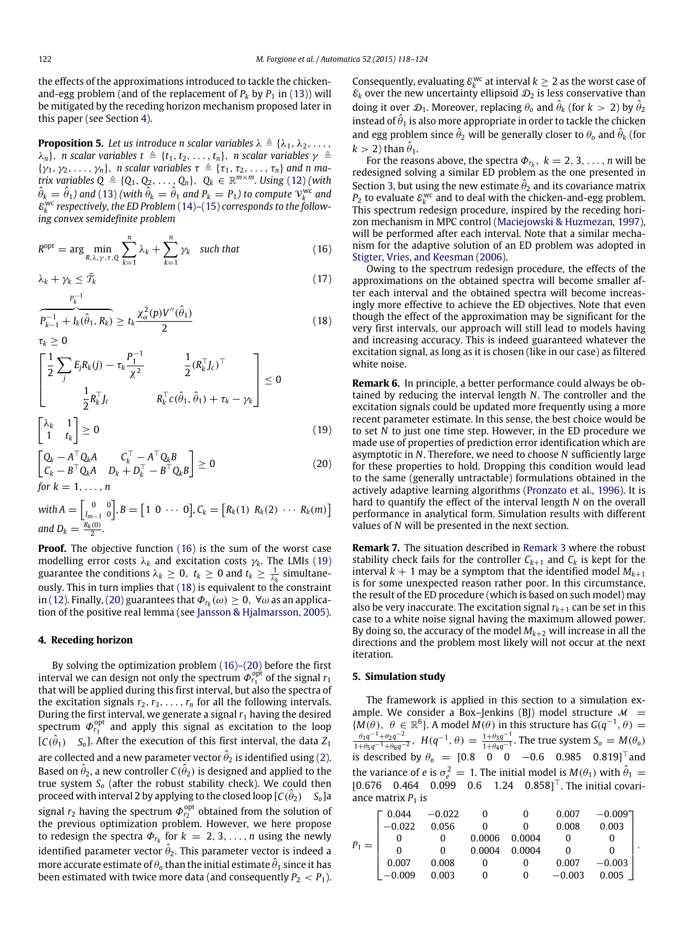the effects of the approximations introduced to tackle the chickenand-egg problem (and of the replacement of  $P_k$  by  $P_1$  in [\(13\)\)](#page-3-7) will be mitigated by the receding horizon mechanism proposed later in this paper (see Section [4\)](#page-4-2).

**Proposition 5.** *Let us introduce n scalar variables*  $\lambda \triangleq {\lambda_1, \lambda_2, \ldots, \lambda_k}$  $\{\lambda_n\}$ , *n* scalar variables  $t \triangleq \{t_1, t_2, \ldots, t_n\}$ , *n* scalar variables  $\gamma \triangleq$  $\{\gamma_1, \gamma_2, \ldots, \gamma_n\},\$  *n* scalar variables  $\tau \triangleq \{\tau_1, \tau_2, \ldots, \tau_n\}$  and *n* ma*trix variables*  $Q \triangleq \{Q_1, Q_2, \ldots, Q_n\}, Q_k \in \mathbb{R}^{m \times m}$ *. Using* [\(12\)](#page-3-6) *(with*  $\hat{\theta}_k = \hat{\theta}_1$ ) and [\(13\)](#page-3-7) (with  $\hat{\theta}_k = \hat{\theta}_1$  and  $P_k = P_1$ ) to compute  $\mathcal{V}_k^{\text{wc}}$  and E wc *k respectively, the ED Problem* [\(14\)](#page-3-4)*–*[\(15\)](#page-3-5) *corresponds to the following convex semidefinite problem*

$$
R^{\text{opt}} = \arg\min_{R,\lambda,\gamma,\tau,Q} \sum_{k=1}^{n} \lambda_k + \sum_{k=1}^{n} \gamma_k \quad \text{such that} \tag{16}
$$

$$
\lambda_k + \gamma_k \le \bar{\mathcal{T}}_k \tag{17}
$$

$$
\overbrace{P_{k-1}^{-1} + I_k(\hat{\theta}_1, R_k)}^{\mathsf{K}} \ge t_k \frac{\chi_\alpha^2(p)V''(\hat{\theta}_1)}{2} \tag{18}
$$

$$
\left[\frac{1}{2}\sum_{j} E_{j}R_{k}(j) - \tau_{k}\frac{P_{1}^{-1}}{\chi^{2}} \qquad \frac{1}{2}(R_{k}^{\top}J_{c})^{\top} \right] \leq 0
$$
\n
$$
\left[\frac{1}{2}R_{k}^{\top}J_{c} \qquad \qquad R_{k}^{\top}c(\hat{\theta}_{1},\hat{\theta}_{1}) + \tau_{k} - \gamma_{k}\right] \leq 0
$$

$$
\begin{bmatrix} \lambda_k & 1 \\ 1 & t_k \end{bmatrix} \ge 0
$$
 (19)

$$
\begin{bmatrix}\nQ_k - A^\top Q_k A & C_k^\top - A^\top Q_k B \\
C_k - B^\top Q_k A & D_k + D_k^\top - B^\top Q_k B \\
for k = 1, ..., n\n\end{bmatrix} \ge 0
$$
\n(20)

 $\text{with } A = \begin{bmatrix} 0 & 0 \\ I_{m-1} & 0 \end{bmatrix}, B = \begin{bmatrix} 1 & 0 & \cdots & 0 \end{bmatrix}, C_k = \begin{bmatrix} R_k(1) & R_k(2) & \cdots & R_k(m) \end{bmatrix}$ *and*  $D_k = \frac{R_k(0)}{2}$ .

**Proof.** The objective function [\(16\)](#page-4-3) is the sum of the worst case modelling error costs λ*<sup>k</sup>* and excitation costs γ*k*. The LMIs [\(19\)](#page-4-4) guarantee the conditions  $\lambda_k \geq 0$ ,  $t_k \geq 0$  and  $t_k \geq \frac{1}{\lambda_k}$  simultaneously. This in turn implies that [\(18\)](#page-4-5) is equivalent to the constraint in [\(12\).](#page-3-6) Finally, [\(20\)](#page-4-6) guarantees that  $\Phi_{r_k}(\omega) \geq 0, \ \forall \omega$  as an application of the positive real lemma (see [Jansson](#page-6-15) [&](#page-6-15) [Hjalmarsson,](#page-6-15) [2005\)](#page-6-15).

#### <span id="page-4-2"></span>**4. Receding horizon**

By solving the optimization problem [\(16\)–\(20\)](#page-4-3) before the first interval we can design not only the spectrum  $\varPhi_{r_1}^{\text{opt}}$  of the signal  $r_1$ that will be applied during this first interval, but also the spectra of the excitation signals  $r_2, r_3, \ldots, r_n$  for all the following intervals. During the first interval, we generate a signal  $r_1$  having the desired spectrum  $\Phi_{r_1}^{\text{opt}}$  and apply this signal as excitation to the loop  $[C(\hat{\theta}_1)$  *S*<sub>0</sub>]. After the execution of this first interval, the data  $Z_1$ are collected and a new parameter vector  $\hat{\theta}_2$  is identified using [\(2\).](#page-2-5) Based on  $\hat{\theta}_2$ , a new controller  $C(\hat{\theta}_2)$  is designed and applied to the true system *S<sup>o</sup>* (after the robust stability check). We could then proceed with interval 2 by applying to the closed loop [ $C(\hat{\theta}_2) - S_o$ ]a signal  $r_2$  having the spectrum  $\varPhi_{r_2}^{\mathrm{opt}}$  obtained from the solution of the previous optimization problem. However, we here propose to redesign the spectra  $\Phi_{r_k}$  for  $k = 2, 3, ..., n$  using the newly identified parameter vector  $\hat{\theta}_2$ . This parameter vector is indeed a more accurate estimate of  $\theta_o$  than the initial estimate  $\hat{\theta}_1$  since it has been estimated with twice more data (and consequently  $P_2 < P_1$ ).

Consequently, evaluating  $\varepsilon_k^{wc}$  at interval  $k \geq 2$  as the worst case of  $\varepsilon_k$  over the new uncertainty ellipsoid  $\mathcal{D}_2$  is less conservative than doing it over  $\mathcal{D}_1$ . Moreover, replacing  $\theta_o$  and  $\hat{\theta}_k$  (for  $k > 2$ ) by  $\hat{\theta}_2$ instead of  $\hat{\theta}_1$  is also more appropriate in order to tackle the chicken and egg problem since  $\hat{\theta}_2$  will be generally closer to  $\theta_o$  and  $\hat{\theta}_k$  (for  $k > 2$ ) than  $\hat{\theta}_1$ .

For the reasons above, the spectra  $\Phi_{r_k}$ ,  $k = 2, 3, ..., n$  will be redesigned solving a similar ED problem as the one presented in Section [3,](#page-3-0) but using the new estimate  $\hat{\theta}_2$  and its covariance matrix  $P_2$  to evaluate  $\varepsilon_k^{\text{wc}}$  and to deal with the chicken-and-egg problem. This spectrum redesign procedure, inspired by the receding horizon mechanism in MPC control [\(Maciejowski](#page-6-22) [&](#page-6-22) [Huzmezan,](#page-6-22) [1997\)](#page-6-22), will be performed after each interval. Note that a similar mechanism for the adaptive solution of an ED problem was adopted in [Stigter,](#page-6-23) [Vries,](#page-6-23) [and](#page-6-23) [Keesman](#page-6-23) [\(2006\)](#page-6-23).

<span id="page-4-5"></span><span id="page-4-3"></span>Owing to the spectrum redesign procedure, the effects of the approximations on the obtained spectra will become smaller after each interval and the obtained spectra will become increasingly more effective to achieve the ED objectives. Note that even though the effect of the approximation may be significant for the very first intervals, our approach will still lead to models having and increasing accuracy. This is indeed guaranteed whatever the excitation signal, as long as it is chosen (like in our case) as filtered white noise.

<span id="page-4-6"></span><span id="page-4-4"></span>**Remark 6.** In principle, a better performance could always be obtained by reducing the interval length *N*. The controller and the excitation signals could be updated more frequently using a more recent parameter estimate. In this sense, the best choice would be to set *N* to just one time step. However, in the ED procedure we made use of properties of prediction error identification which are asymptotic in *N*. Therefore, we need to choose *N* sufficiently large for these properties to hold. Dropping this condition would lead to the same (generally untractable) formulations obtained in the actively adaptive learning algorithms [\(Pronzato](#page-6-12) [et al.,](#page-6-12) [1996\)](#page-6-12). It is hard to quantify the effect of the interval length *N* on the overall performance in analytical form. Simulation results with different values of *N* will be presented in the next section.

<span id="page-4-1"></span>**Remark 7.** The situation described in [Remark 3](#page-2-6) where the robust stability check fails for the controller  $C_{k+1}$  and  $C_k$  is kept for the interval  $k + 1$  may be a symptom that the identified model  $M_{k+1}$ is for some unexpected reason rather poor. In this circumstance, the result of the ED procedure (which is based on such model) may also be very inaccurate. The excitation signal  $r_{k+1}$  can be set in this case to a white noise signal having the maximum allowed power. By doing so, the accuracy of the model *Mk*+<sup>2</sup> will increase in all the directions and the problem most likely will not occur at the next iteration.

#### <span id="page-4-0"></span>**5. Simulation study**

The framework is applied in this section to a simulation example. We consider a Box-Jenkins (BJ) model structure  $\mathcal{M}$  =  ${M(\theta), \theta \in \mathbb{R}^6}$ . A model  $M(\theta)$  in this structure has  $G(q^{-1}, \theta) =$  $heta_1q^{-1}+\theta_2q^{-2}$  $\frac{\theta_1 q^{-1} + \theta_2 q^{-2}}{1 + \theta_5 q^{-1} + \theta_6 q^{-2}}, \ H(q^{-1}, \theta) = \frac{1 + \theta_3 q^{-1}}{1 + \theta_4 q^{-1}}$  $\frac{1+\theta_3q^{-1}}{1+\theta_4q^{-1}}$ . The true system  $S_0 = M(\theta_0)$ is described by  $\theta_o = [0.8 \ 0 \ 0 \ -0.6 \ 0.985 \ 0.819]^\top$  and the variance of *e* is  $\sigma_e^2 = 1$ . The initial model is  $M(\theta_1)$  with  $\hat{\theta}_1 =$  $[0.676 \quad 0.464 \quad 0.099 \quad 0.6 \quad 1.24 \quad 0.858]^\top$ . The initial covariance matrix  $P_1$  is

|  | $\Gamma$ 0.044 | $-0.022$ |          |        | 0.007    | $-0.009$ <sup>-</sup> |  |
|--|----------------|----------|----------|--------|----------|-----------------------|--|
|  | $-0.022$       | 0.056    | $\Omega$ |        | 0.008    | 0.003                 |  |
|  |                |          | 0.0006   | 0.0004 | $\Omega$ |                       |  |
|  |                | $\theta$ | 0.0004   | 0.0004 | 0        |                       |  |
|  | 0.007          | 0.008    | O        |        | 0.007    | $-0.003$              |  |
|  | $-0.009$       | 0.003    | $\Omega$ | 0      | $-0.003$ | 0.005                 |  |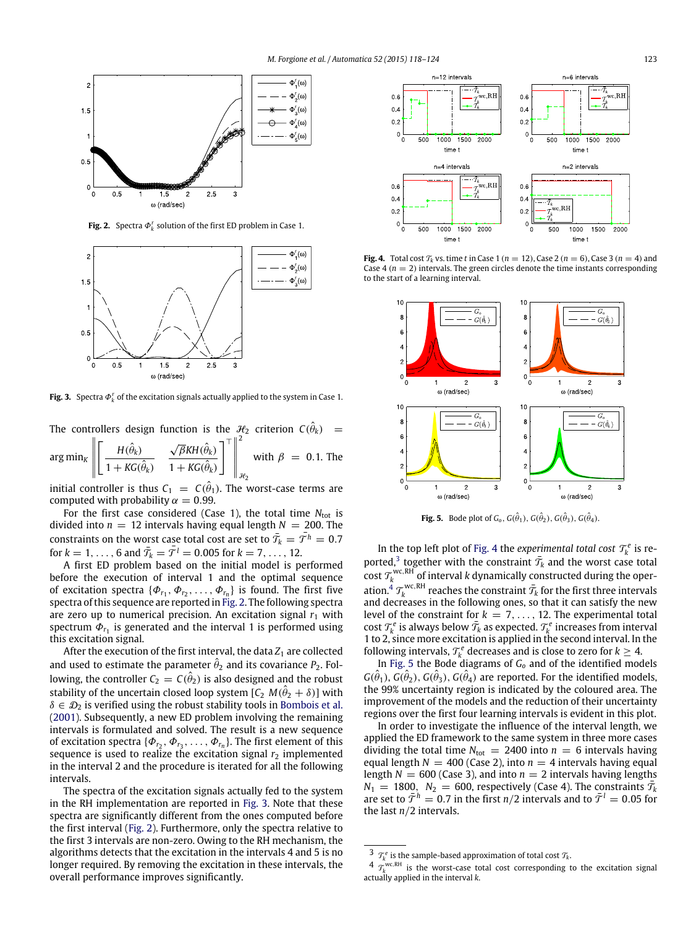<span id="page-5-0"></span>

**Fig. 2.** Spectra  $\Phi_k^r$  solution of the first ED problem in Case 1.

<span id="page-5-1"></span>

**Fig. 3.** Spectra  $\Phi_k^r$  of the excitation signals actually applied to the system in Case 1.

The controllers design function is the  $\mathcal{H}_2$  criterion  $C(\hat{\theta}_k)$   $=$ arg min<sub> $K$ </sub>  $\mathbf{r}^{\prime}$  $\mathbf{r}$  $\frac{1}{2}$  $\frac{1}{2}$  $\frac{1}{2}$  $\parallel$ Г  $H(\hat{\theta}$ *k*)  $1 + KG(\hat{\theta}$ *k*)  $\sqrt{\beta}KH(\hat{\theta}_k)$  $1 + KG(\hat{\theta}_k)$ ⊤  $\overline{\phantom{a}}$ I  $\parallel$ 2  $\mathcal{H}_2$ with  $\beta = 0.1$ . The

initial controller is thus  $C_1 = C(\hat{\theta}_1)$ . The worst-case terms are computed with probability  $\alpha = 0.99$ .

For the first case considered (Case 1), the total time *N*<sub>tot</sub> is divided into  $n = 12$  intervals having equal length  $N = 200$ . The constraints on the worst case total cost are set to  $\bar{\tau}_k = \bar{\tau}^h = 0.7$ for  $k = 1, ..., 6$  and  $\bar{T}_k = \bar{T}^l = 0.005$  for  $k = 7, ..., 12$ .

A first ED problem based on the initial model is performed before the execution of interval 1 and the optimal sequence of excitation spectra  $\{\Phi_{r_1}, \Phi_{r_2}, \ldots, \Phi_{r_n}\}\$ is found. The first five spectra of this sequence are reported in [Fig. 2.](#page-5-0) The following spectra are zero up to numerical precision. An excitation signal  $r_1$  with spectrum  $\mathit{\Phi_{r_1}}$  is generated and the interval 1 is performed using this excitation signal.

After the execution of the first interval, the data  $Z_1$  are collected and used to estimate the parameter  $\hat{\theta}_2$  and its covariance  $P_2$ . Following, the controller  $\mathcal{C}_2 = \mathcal{C}(\hat{\theta}_2)$  is also designed and the robust stability of the uncertain closed loop system  $[C_2 M(\hat{\theta}_2 + \delta)]$  with  $\delta \in \mathcal{D}_2$  is verified using the robust stability tools in [Bombois](#page-6-16) [et al.](#page-6-16) [\(2001\)](#page-6-16). Subsequently, a new ED problem involving the remaining intervals is formulated and solved. The result is a new sequence of excitation spectra  $\{\boldsymbol{\Phi}_{r_2}, \boldsymbol{\Phi}_{r_3}, \dots, \boldsymbol{\Phi}_{r_n}\}$ . The first element of this sequence is used to realize the excitation signal  $r_2$  implemented in the interval 2 and the procedure is iterated for all the following intervals.

The spectra of the excitation signals actually fed to the system in the RH implementation are reported in [Fig. 3.](#page-5-1) Note that these spectra are significantly different from the ones computed before the first interval [\(Fig. 2\)](#page-5-0). Furthermore, only the spectra relative to the first 3 intervals are non-zero. Owing to the RH mechanism, the algorithms detects that the excitation in the intervals 4 and 5 is no longer required. By removing the excitation in these intervals, the overall performance improves significantly.

<span id="page-5-2"></span>

**Fig. 4.** Total cost  $\mathcal{T}_k$  vs. time *t* in Case 1 ( $n = 12$ ), Case 2 ( $n = 6$ ), Case 3 ( $n = 4$ ) and Case  $4$  ( $n = 2$ ) intervals. The green circles denote the time instants corresponding to the start of a learning interval.

<span id="page-5-5"></span>

**Fig. 5.** Bode plot of  $G_0$ ,  $G(\hat{\theta}_1)$ ,  $G(\hat{\theta}_2)$ ,  $G(\hat{\theta}_3)$ ,  $G(\hat{\theta}_4)$ .

In the top left plot of [Fig. 4](#page-5-2) the *experimental total cost*  $\mathcal{T}_k^e$  is re-ported,<sup>[3](#page-5-3)</sup> together with the constraint  $\bar{\tau}_k$  and the worst case total cost  $\mathcal{T}_{k}^{\text{wc,RH}}$  of interval *k* dynamically constructed during the oper-ation.<sup>[4](#page-5-4)</sup>  $\mathcal{T}_{k}^{\text{wc, RH}}$  reaches the constraint  $\bar{\mathcal{T}}_{k}$  for the first three intervals and decreases in the following ones, so that it can satisfy the new level of the constraint for  $k = 7, \ldots, 12$ . The experimental total  $\cos t \mathcal{T}_k^e$  is always below  $\bar{\mathcal{T}}_k$  as expected.  $\mathcal{T}_k^e$  increases from interval 1 to 2, since more excitation is applied in the second interval. In the following intervals,  $\mathcal{T}_k^e$  decreases and is close to zero for  $k \geq 4$ .

In [Fig. 5](#page-5-5) the Bode diagrams of *G<sup>o</sup>* and of the identified models  $G(\hat{\theta}_1)$ ,  $G(\hat{\theta}_2)$ ,  $G(\hat{\theta}_3)$ ,  $G(\hat{\theta}_4)$  are reported. For the identified models, the 99% uncertainty region is indicated by the coloured area. The improvement of the models and the reduction of their uncertainty regions over the first four learning intervals is evident in this plot.

In order to investigate the influence of the interval length, we applied the ED framework to the same system in three more cases dividing the total time  $N_{\text{tot}} = 2400$  into  $n = 6$  intervals having equal length  $N = 400$  (Case 2), into  $n = 4$  intervals having equal length  $N = 600$  (Case 3), and into  $n = 2$  intervals having lengths  $N_1 = 1800, N_2 = 600$ , respectively (Case 4). The constraints  $\bar{T}_k$ are set to  $\bar{\tau}^h = 0.7$  in the first  $n/2$  intervals and to  $\bar{\tau}^l = 0.05$  for the last *n*/2 intervals.

<span id="page-5-3"></span> $\frac{3}{k}$   $\mathcal{T}_k^e$  is the sample-based approximation of total cost  $\mathcal{T}_k$ .

<span id="page-5-4"></span> $4 \tau_k^{\text{wc,RH}}$  is the worst-case total cost corresponding to the excitation signal actually applied in the interval *k*.